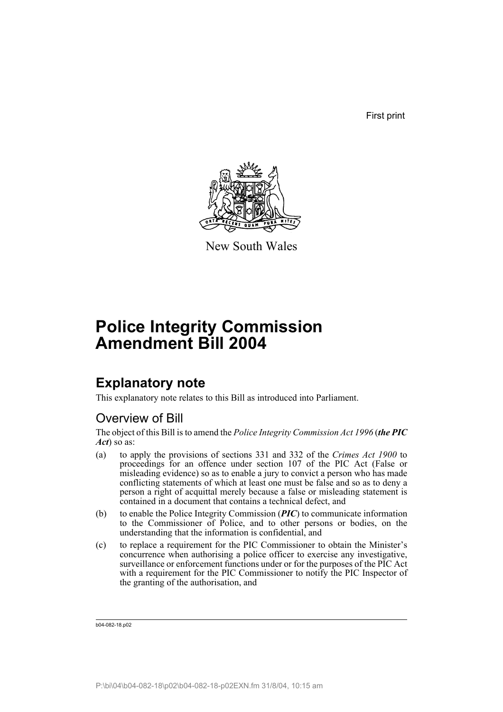First print



New South Wales

# **Police Integrity Commission Amendment Bill 2004**

## **Explanatory note**

This explanatory note relates to this Bill as introduced into Parliament.

## Overview of Bill

The object of this Bill is to amend the *Police Integrity Commission Act 1996* (*the PIC Act*) so as:

- (a) to apply the provisions of sections 331 and 332 of the *Crimes Act 1900* to proceedings for an offence under section 107 of the PIC Act (False or misleading evidence) so as to enable a jury to convict a person who has made conflicting statements of which at least one must be false and so as to deny a person a right of acquittal merely because a false or misleading statement is contained in a document that contains a technical defect, and
- (b) to enable the Police Integrity Commission (*PIC*) to communicate information to the Commissioner of Police, and to other persons or bodies, on the understanding that the information is confidential, and
- (c) to replace a requirement for the PIC Commissioner to obtain the Minister's concurrence when authorising a police officer to exercise any investigative, surveillance or enforcement functions under or for the purposes of the PIC Act with a requirement for the PIC Commissioner to notify the PIC Inspector of the granting of the authorisation, and

b04-082-18.p02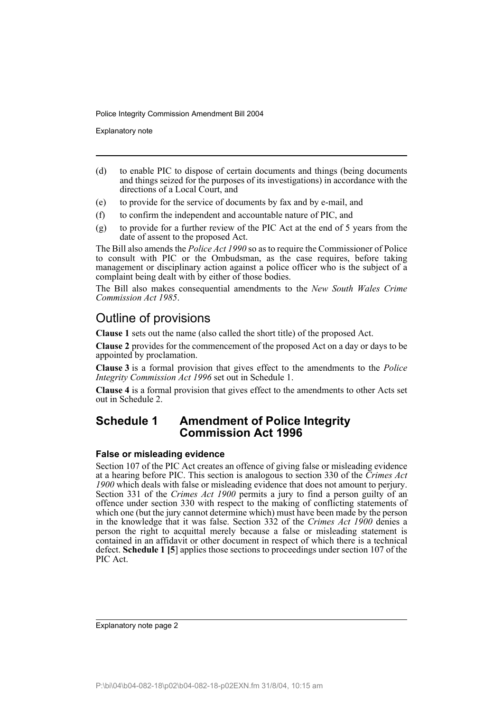Explanatory note

- (d) to enable PIC to dispose of certain documents and things (being documents and things seized for the purposes of its investigations) in accordance with the directions of a Local Court, and
- (e) to provide for the service of documents by fax and by e-mail, and
- (f) to confirm the independent and accountable nature of PIC, and
- (g) to provide for a further review of the PIC Act at the end of 5 years from the date of assent to the proposed Act.

The Bill also amends the *Police Act 1990* so as to require the Commissioner of Police to consult with PIC or the Ombudsman, as the case requires, before taking management or disciplinary action against a police officer who is the subject of a complaint being dealt with by either of those bodies.

The Bill also makes consequential amendments to the *New South Wales Crime Commission Act 1985*.

## Outline of provisions

**Clause 1** sets out the name (also called the short title) of the proposed Act.

**Clause 2** provides for the commencement of the proposed Act on a day or days to be appointed by proclamation.

**Clause 3** is a formal provision that gives effect to the amendments to the *Police Integrity Commission Act 1996* set out in Schedule 1.

**Clause 4** is a formal provision that gives effect to the amendments to other Acts set out in Schedule 2.

### **Schedule 1 Amendment of Police Integrity Commission Act 1996**

#### **False or misleading evidence**

Section 107 of the PIC Act creates an offence of giving false or misleading evidence at a hearing before PIC. This section is analogous to section 330 of the *Crimes Act 1900* which deals with false or misleading evidence that does not amount to perjury. Section 331 of the *Crimes Act 1900* permits a jury to find a person guilty of an offence under section 330 with respect to the making of conflicting statements of which one (but the jury cannot determine which) must have been made by the person in the knowledge that it was false. Section 332 of the *Crimes Act 1900* denies a person the right to acquittal merely because a false or misleading statement is contained in an affidavit or other document in respect of which there is a technical defect. **Schedule 1 [5**] applies those sections to proceedings under section 107 of the PIC Act.

Explanatory note page 2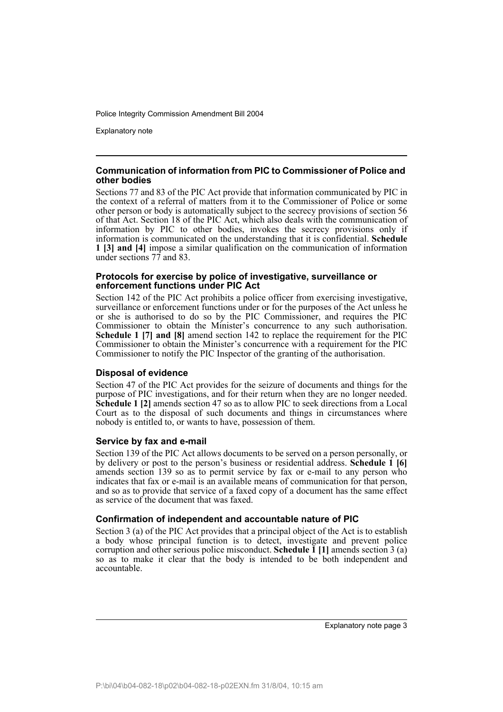Explanatory note

#### **Communication of information from PIC to Commissioner of Police and other bodies**

Sections 77 and 83 of the PIC Act provide that information communicated by PIC in the context of a referral of matters from it to the Commissioner of Police or some other person or body is automatically subject to the secrecy provisions of section 56 of that Act. Section 18 of the PIC Act, which also deals with the communication of information by PIC to other bodies, invokes the secrecy provisions only if information is communicated on the understanding that it is confidential. **Schedule 1 [3] and [4]** impose a similar qualification on the communication of information under sections 77 and 83.

#### **Protocols for exercise by police of investigative, surveillance or enforcement functions under PIC Act**

Section 142 of the PIC Act prohibits a police officer from exercising investigative, surveillance or enforcement functions under or for the purposes of the Act unless he or she is authorised to do so by the PIC Commissioner, and requires the PIC Commissioner to obtain the Minister's concurrence to any such authorisation. **Schedule 1 [7] and [8]** amend section 142 to replace the requirement for the PIC Commissioner to obtain the Minister's concurrence with a requirement for the PIC Commissioner to notify the PIC Inspector of the granting of the authorisation.

#### **Disposal of evidence**

Section 47 of the PIC Act provides for the seizure of documents and things for the purpose of PIC investigations, and for their return when they are no longer needed. **Schedule 1 [2]** amends section 47 so as to allow PIC to seek directions from a Local Court as to the disposal of such documents and things in circumstances where nobody is entitled to, or wants to have, possession of them.

#### **Service by fax and e-mail**

Section 139 of the PIC Act allows documents to be served on a person personally, or by delivery or post to the person's business or residential address. **Schedule 1 [6]** amends section 139 so as to permit service by fax or e-mail to any person who indicates that fax or e-mail is an available means of communication for that person, and so as to provide that service of a faxed copy of a document has the same effect as service of the document that was faxed.

#### **Confirmation of independent and accountable nature of PIC**

Section 3 (a) of the PIC Act provides that a principal object of the Act is to establish a body whose principal function is to detect, investigate and prevent police corruption and other serious police misconduct. **Schedule 1 [1]** amends section 3 (a) so as to make it clear that the body is intended to be both independent and accountable.

Explanatory note page 3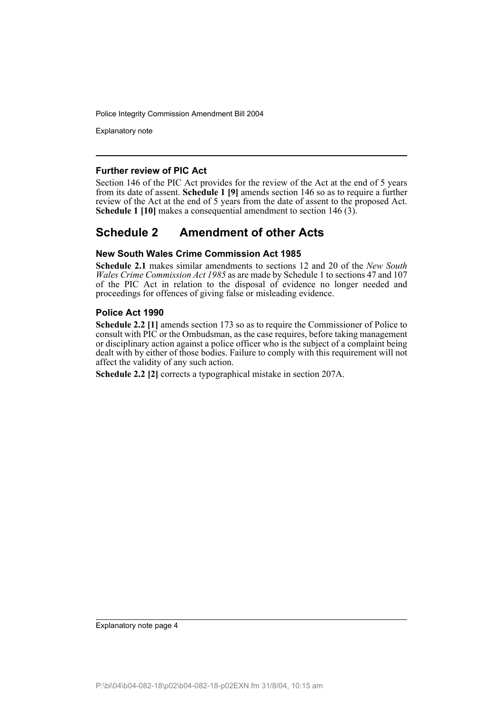Explanatory note

#### **Further review of PIC Act**

Section 146 of the PIC Act provides for the review of the Act at the end of 5 years from its date of assent. **Schedule 1 [9]** amends section 146 so as to require a further review of the Act at the end of 5 years from the date of assent to the proposed Act. **Schedule 1 [10]** makes a consequential amendment to section 146 (3).

## **Schedule 2 Amendment of other Acts**

#### **New South Wales Crime Commission Act 1985**

**Schedule 2.1** makes similar amendments to sections 12 and 20 of the *New South Wales Crime Commission Act 1985* as are made by Schedule 1 to sections 47 and 107 of the PIC Act in relation to the disposal of evidence no longer needed and proceedings for offences of giving false or misleading evidence.

#### **Police Act 1990**

**Schedule 2.2 [1]** amends section 173 so as to require the Commissioner of Police to consult with PIC or the Ombudsman, as the case requires, before taking management or disciplinary action against a police officer who is the subject of a complaint being dealt with by either of those bodies. Failure to comply with this requirement will not affect the validity of any such action.

**Schedule 2.2 [2]** corrects a typographical mistake in section 207A.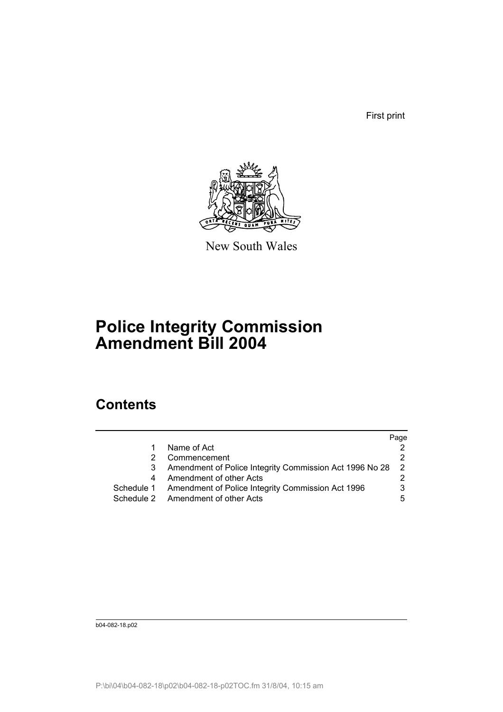First print



New South Wales

# **Police Integrity Commission Amendment Bill 2004**

## **Contents**

|            |                                                         | Page |
|------------|---------------------------------------------------------|------|
|            | Name of Act                                             |      |
|            | Commencement                                            |      |
|            | Amendment of Police Integrity Commission Act 1996 No 28 |      |
| 4          | Amendment of other Acts                                 |      |
| Schedule 1 | Amendment of Police Integrity Commission Act 1996       |      |
|            | Schedule 2 Amendment of other Acts                      | 5    |

b04-082-18.p02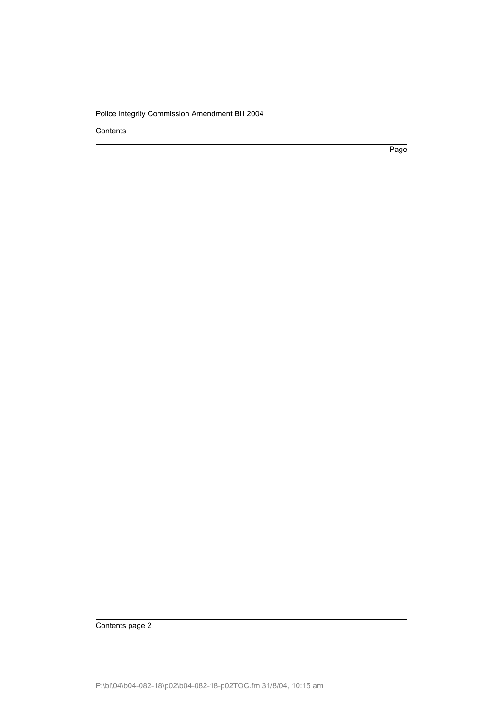**Contents** 

Page

Contents page 2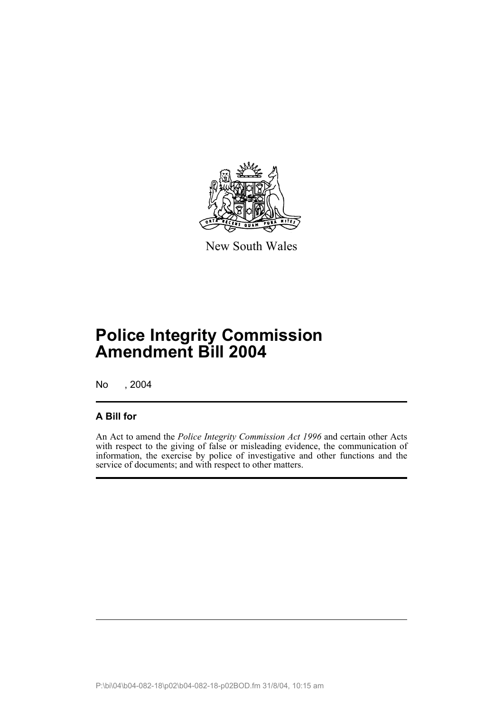

New South Wales

# **Police Integrity Commission Amendment Bill 2004**

No , 2004

### **A Bill for**

An Act to amend the *Police Integrity Commission Act 1996* and certain other Acts with respect to the giving of false or misleading evidence, the communication of information, the exercise by police of investigative and other functions and the service of documents; and with respect to other matters.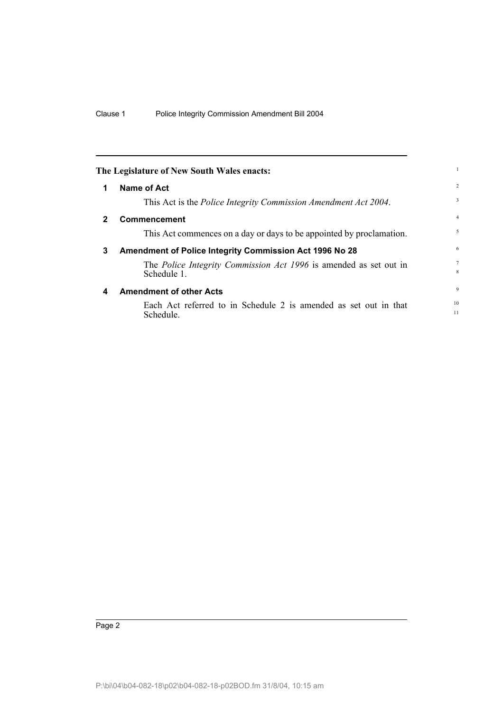|              | The Legislature of New South Wales enacts:                                       |                     |
|--------------|----------------------------------------------------------------------------------|---------------------|
| 1            | Name of Act                                                                      | $\overline{2}$      |
|              | This Act is the Police Integrity Commission Amendment Act 2004.                  | 3                   |
| $\mathbf{2}$ | <b>Commencement</b>                                                              | $\overline{4}$      |
|              | This Act commences on a day or days to be appointed by proclamation.             | 5                   |
| 3            | Amendment of Police Integrity Commission Act 1996 No 28                          | 6                   |
|              | The Police Integrity Commission Act 1996 is amended as set out in<br>Schedule 1. | $\overline{7}$<br>8 |
| 4            | <b>Amendment of other Acts</b>                                                   | 9                   |
|              | Each Act referred to in Schedule 2 is amended as set out in that<br>Schedule.    | 10<br>11            |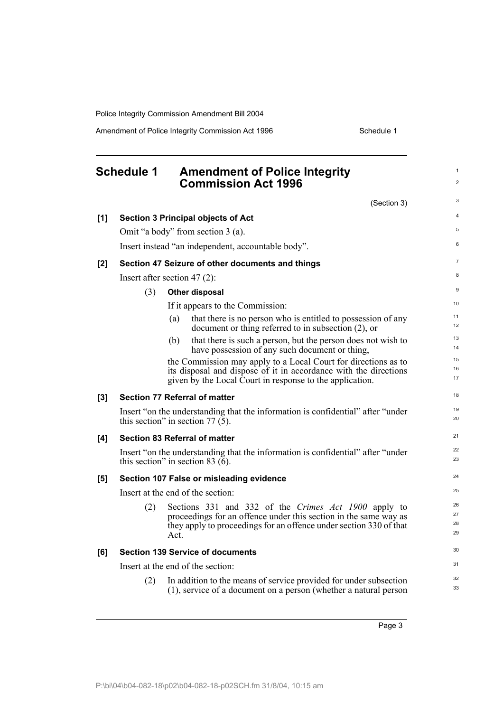Amendment of Police Integrity Commission Act 1996 Schedule 1

## **Schedule 1 Amendment of Police Integrity Commission Act 1996**

(Section 3)

1 2

|       |     | $\overline{O}$ crining                                                                                                                 |          |
|-------|-----|----------------------------------------------------------------------------------------------------------------------------------------|----------|
| [1]   |     | <b>Section 3 Principal objects of Act</b>                                                                                              | 4        |
|       |     | Omit "a body" from section 3 (a).                                                                                                      | 5        |
|       |     | Insert instead "an independent, accountable body".                                                                                     | 6        |
| $[2]$ |     | Section 47 Seizure of other documents and things                                                                                       | 7        |
|       |     | Insert after section 47 $(2)$ :                                                                                                        | 8        |
|       | (3) | Other disposal                                                                                                                         | 9        |
|       |     | If it appears to the Commission:                                                                                                       | 10       |
|       |     | that there is no person who is entitled to possession of any<br>(a)<br>document or thing referred to in subsection $(2)$ , or          | 11<br>12 |
|       |     | that there is such a person, but the person does not wish to<br>(b)<br>have possession of any such document or thing,                  | 13<br>14 |
|       |     | the Commission may apply to a Local Court for directions as to<br>its disposal and dispose of it in accordance with the directions     | 15<br>16 |
|       |     | given by the Local Court in response to the application.                                                                               | 17       |
| $[3]$ |     | <b>Section 77 Referral of matter</b>                                                                                                   | 18       |
|       |     | Insert "on the understanding that the information is confidential" after "under<br>this section" in section 77 $(5)$ .                 | 19<br>20 |
| [4]   |     | <b>Section 83 Referral of matter</b>                                                                                                   | 21       |
|       |     | Insert "on the understanding that the information is confidential" after "under<br>this section" in section 83 $(6)$ .                 | 22<br>23 |
| $[5]$ |     | Section 107 False or misleading evidence                                                                                               | 24       |
|       |     | Insert at the end of the section:                                                                                                      | 25       |
|       | (2) | Sections 331 and 332 of the Crimes Act 1900 apply to                                                                                   | 26       |
|       |     | proceedings for an offence under this section in the same way as<br>they apply to proceedings for an offence under section 330 of that | 27<br>28 |
|       |     | Act.                                                                                                                                   | 29       |
| [6]   |     | <b>Section 139 Service of documents</b>                                                                                                | 30       |
|       |     | Insert at the end of the section:                                                                                                      | 31       |
|       | (2) | In addition to the means of service provided for under subsection<br>(1), service of a document on a person (whether a natural person  | 32<br>33 |
|       |     |                                                                                                                                        |          |

Page 3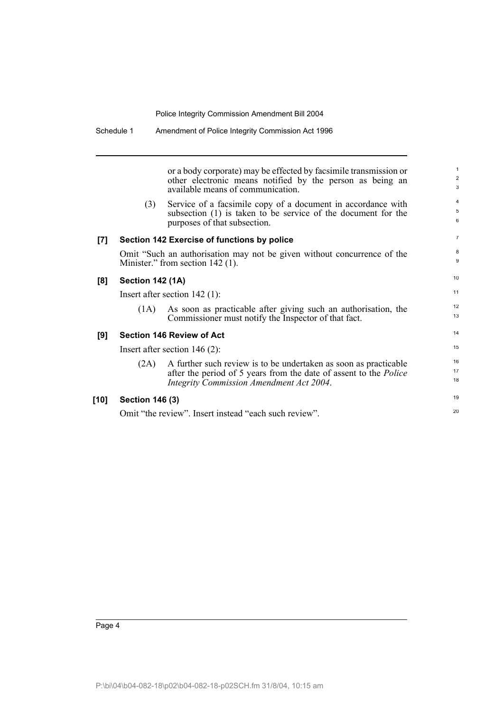or a body corporate) may be effected by facsimile transmission or other electronic means notified by the person as being an available means of communication.

(3) Service of a facsimile copy of a document in accordance with subsection (1) is taken to be service of the document for the purposes of that subsection.

#### **[7] Section 142 Exercise of functions by police**

Omit "Such an authorisation may not be given without concurrence of the Minister." from section 142 (1).

#### **[8] Section 142 (1A)**

Insert after section 142 (1):

(1A) As soon as practicable after giving such an authorisation, the Commissioner must notify the Inspector of that fact.

#### **[9] Section 146 Review of Act**

Insert after section 146 (2):

| A further such review is to be undertaken as soon as practicable         |  |
|--------------------------------------------------------------------------|--|
| after the period of 5 years from the date of assent to the <i>Police</i> |  |
|                                                                          |  |
|                                                                          |  |

#### **[10] Section 146 (3)**

Omit "the review". Insert instead "each such review".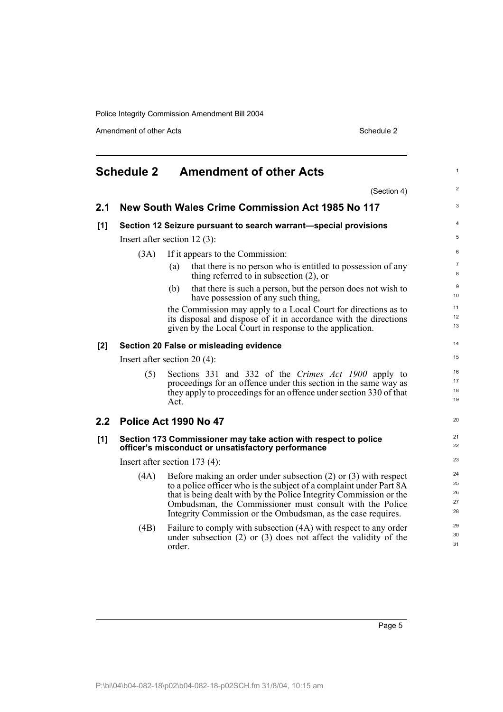Amendment of other Acts Schedule 2

|     | <b>Schedule 2</b> | <b>Amendment of other Acts</b>                                                                                                                                                                                                                                                                                                               | $\mathbf{1}$               |
|-----|-------------------|----------------------------------------------------------------------------------------------------------------------------------------------------------------------------------------------------------------------------------------------------------------------------------------------------------------------------------------------|----------------------------|
|     |                   | (Section 4)                                                                                                                                                                                                                                                                                                                                  | $\overline{2}$             |
| 2.1 |                   | New South Wales Crime Commission Act 1985 No 117                                                                                                                                                                                                                                                                                             | 3                          |
| [1] |                   | Section 12 Seizure pursuant to search warrant-special provisions                                                                                                                                                                                                                                                                             | $\overline{4}$             |
|     |                   | Insert after section $12(3)$ :                                                                                                                                                                                                                                                                                                               | 5                          |
|     | (3A)              | If it appears to the Commission:                                                                                                                                                                                                                                                                                                             | 6                          |
|     |                   | that there is no person who is entitled to possession of any<br>(a)<br>thing referred to in subsection $(2)$ , or                                                                                                                                                                                                                            | $\overline{7}$<br>8        |
|     |                   | that there is such a person, but the person does not wish to<br>(b)<br>have possession of any such thing,                                                                                                                                                                                                                                    | 9<br>10                    |
|     |                   | the Commission may apply to a Local Court for directions as to                                                                                                                                                                                                                                                                               | 11<br>12                   |
|     |                   | its disposal and dispose of it in accordance with the directions<br>given by the Local Court in response to the application.                                                                                                                                                                                                                 | 13                         |
| [2] |                   | Section 20 False or misleading evidence                                                                                                                                                                                                                                                                                                      | 14                         |
|     |                   | Insert after section 20 $(4)$ :                                                                                                                                                                                                                                                                                                              | 15                         |
|     | (5)               | Sections 331 and 332 of the Crimes Act 1900 apply to<br>proceedings for an offence under this section in the same way as<br>they apply to proceedings for an offence under section 330 of that<br>Act.                                                                                                                                       | 16<br>17<br>18<br>19       |
| 2.2 |                   | Police Act 1990 No 47                                                                                                                                                                                                                                                                                                                        | 20                         |
| [1] |                   | Section 173 Commissioner may take action with respect to police<br>officer's misconduct or unsatisfactory performance                                                                                                                                                                                                                        | 21<br>22                   |
|     |                   | Insert after section $173(4)$ :                                                                                                                                                                                                                                                                                                              | 23                         |
|     | (4A)              | Before making an order under subsection $(2)$ or $(3)$ with respect<br>to a police officer who is the subject of a complaint under Part 8A<br>that is being dealt with by the Police Integrity Commission or the<br>Ombudsman, the Commissioner must consult with the Police<br>Integrity Commission or the Ombudsman, as the case requires. | 24<br>25<br>26<br>27<br>28 |
|     | (4B)              | Failure to comply with subsection (4A) with respect to any order<br>under subsection $(2)$ or $(3)$ does not affect the validity of the<br>order.                                                                                                                                                                                            | 29<br>30<br>31             |

Page 5